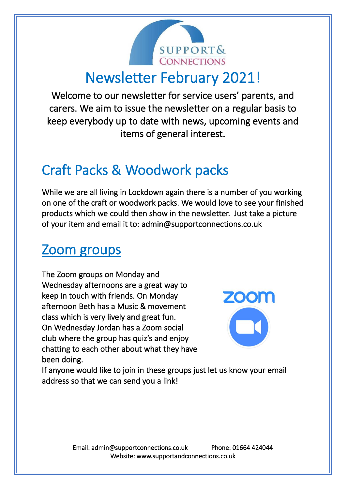

# Newsletter February 2021!

Welcome to our newsletter for service users' parents, and carers. We aim to issue the newsletter on a regular basis to keep everybody up to date with news, upcoming events and items of general interest.

# Craft Packs & Woodwork packs

While we are all living in Lockdown again there is a number of you working on one of the craft or woodwork packs. We would love to see your finished products which we could then show in the newsletter. Just take a picture of your item and email it to: admin@supportconnections.co.uk

#### Zoom groups

The Zoom groups on Monday and Wednesday afternoons are a great way to keep in touch with friends. On Monday afternoon Beth has a Music & movement class which is very lively and great fun. On Wednesday Jordan has a Zoom social club where the group has quiz's and enjoy chatting to each other about what they have been doing.



If anyone would like to join in these groups just let us know your email address so that we can send you a link!